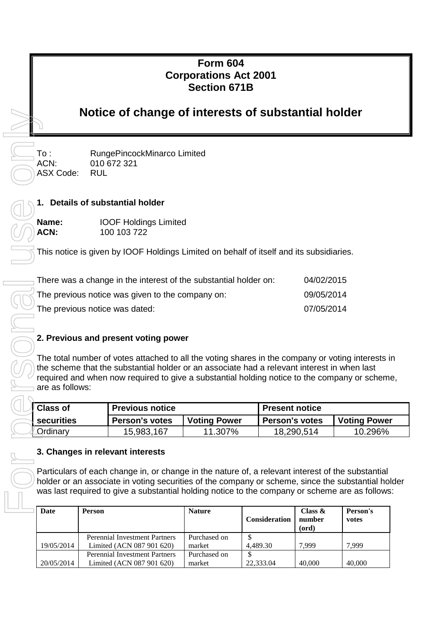# **Form 604 Corporations Act 2001 Section 671B**

# **Notice of change of interests of substantial holder**

ASX Code: RUL

To : RungePincockMinarco Limited ACN: 010 672 321

# **1. Details of substantial holder**

**Name:** IOOF Holdings Limited **ACN:** 100 103 722

This notice is given by IOOF Holdings Limited on behalf of itself and its subsidiaries.

| There was a change in the interest of the substantial holder on: | 04/02/2015 |
|------------------------------------------------------------------|------------|
| The previous notice was given to the company on:                 | 09/05/2014 |
| The previous notice was dated:                                   | 07/05/2014 |

# **2. Previous and present voting power**

The total number of votes attached to all the voting shares in the company or voting interests in the scheme that the substantial holder or an associate had a relevant interest in when last required and when now required to give a substantial holding notice to the company or scheme, are as follows:

| <b>Class of</b> | <b>Previous notice</b> |                     | <b>Present notice</b> |                     |  |
|-----------------|------------------------|---------------------|-----------------------|---------------------|--|
| I securities    | <b>Person's votes</b>  | <b>Voting Power</b> | <b>Person's votes</b> | <b>Voting Power</b> |  |
| <b>Crdinary</b> | 15,983,167             | 11.307%             | 18,290,514            | 10.296%             |  |

#### **3. Changes in relevant interests**

Particulars of each change in, or change in the nature of, a relevant interest of the substantial holder or an associate in voting securities of the company or scheme, since the substantial holder was last required to give a substantial holding notice to the company or scheme are as follows:

| Date       | <b>Person</b>                        | <b>Nature</b> | <b>Consideration</b> | Class $\&$<br>number<br>(ord) | Person's<br>votes |
|------------|--------------------------------------|---------------|----------------------|-------------------------------|-------------------|
|            | <b>Perennial Investment Partners</b> | Purchased on  |                      |                               |                   |
| 19/05/2014 | Limited (ACN 087 901 620)            | market        | 4.489.30             | 7.999                         | 7.999             |
|            | <b>Perennial Investment Partners</b> | Purchased on  |                      |                               |                   |
| 20/05/2014 | Limited (ACN 087 901 620)            | market        | 22,333.04            | 40,000                        | 40,000            |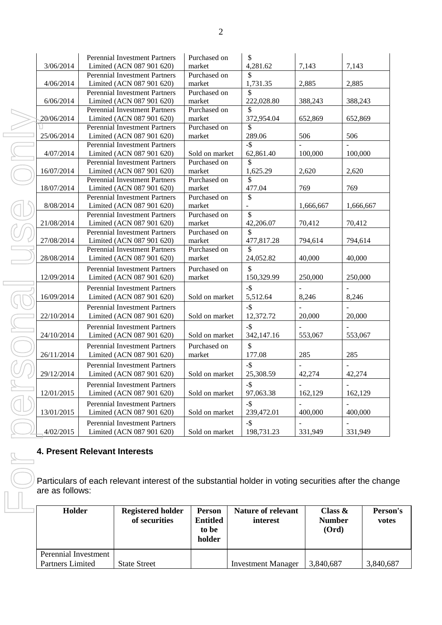|            | <b>Perennial Investment Partners</b> | Purchased on   | \$             |                |                          |
|------------|--------------------------------------|----------------|----------------|----------------|--------------------------|
| 3/06/2014  | Limited (ACN 087 901 620)            | market         | 4,281.62       | 7,143          | 7,143                    |
|            | <b>Perennial Investment Partners</b> | Purchased on   | \$             |                |                          |
| 4/06/2014  | Limited (ACN 087 901 620)            | market         | 1,731.35       | 2,885          | 2,885                    |
|            | <b>Perennial Investment Partners</b> | Purchased on   | \$             |                |                          |
| 6/06/2014  | Limited (ACN 087 901 620)            | market         | 222,028.80     | 388,243        | 388,243                  |
|            | <b>Perennial Investment Partners</b> | Purchased on   | \$             |                |                          |
| 20/06/2014 | Limited (ACN 087 901 620)            | market         | 372,954.04     | 652,869        | 652,869                  |
|            | <b>Perennial Investment Partners</b> | Purchased on   | \$             |                |                          |
| 25/06/2014 | Limited (ACN 087 901 620)            | market         | 289.06         | 506            | 506                      |
|            | <b>Perennial Investment Partners</b> |                | $-5$           |                |                          |
| 4/07/2014  | Limited (ACN 087 901 620)            | Sold on market | 62,861.40      | 100,000        | 100,000                  |
|            | <b>Perennial Investment Partners</b> | Purchased on   | \$             |                |                          |
| 16/07/2014 | Limited (ACN 087 901 620)            | market         | 1,625.29       | 2,620          | 2,620                    |
|            | <b>Perennial Investment Partners</b> | Purchased on   | \$             |                |                          |
| 18/07/2014 | Limited (ACN 087 901 620)            | market         | 477.04         | 769            | 769                      |
|            | <b>Perennial Investment Partners</b> | Purchased on   | \$             |                |                          |
| 8/08/2014  | Limited (ACN 087 901 620)            | market         | $\overline{a}$ | 1,666,667      | 1,666,667                |
|            | <b>Perennial Investment Partners</b> | Purchased on   | $\mathcal{S}$  |                |                          |
| 21/08/2014 | Limited (ACN 087 901 620)            | market         | 42,206.07      | 70,412         | 70,412                   |
|            | <b>Perennial Investment Partners</b> | Purchased on   | \$             |                |                          |
| 27/08/2014 | Limited (ACN 087 901 620)            | market         | 477,817.28     | 794,614        | 794,614                  |
|            | <b>Perennial Investment Partners</b> | Purchased on   | \$             |                |                          |
| 28/08/2014 | Limited (ACN 087 901 620)            | market         | 24,052.82      | 40,000         | 40,000                   |
|            | <b>Perennial Investment Partners</b> | Purchased on   | \$             |                |                          |
| 12/09/2014 | Limited (ACN 087 901 620)            | market         | 150,329.99     | 250,000        | 250,000                  |
|            | <b>Perennial Investment Partners</b> |                | $-$ \$         |                |                          |
| 16/09/2014 | Limited (ACN 087 901 620)            | Sold on market | 5,512.64       | 8,246          | 8,246                    |
|            | <b>Perennial Investment Partners</b> |                | $-$ \$         |                |                          |
| 22/10/2014 | Limited (ACN 087 901 620)            | Sold on market | 12,372.72      | 20,000         | 20,000                   |
|            |                                      |                | $-$ \$         |                |                          |
|            | <b>Perennial Investment Partners</b> |                | 342,147.16     |                |                          |
| 24/10/2014 | Limited (ACN 087 901 620)            | Sold on market |                | 553,067        | 553,067                  |
|            | <b>Perennial Investment Partners</b> | Purchased on   | \$             |                |                          |
| 26/11/2014 | Limited (ACN 087 901 620)            | market         | 177.08         | 285            | 285                      |
|            | <b>Perennial Investment Partners</b> |                | $-$ \$         |                |                          |
| 29/12/2014 | Limited (ACN 087 901 620)            | Sold on market | 25,308.59      | 42,274         | 42,274                   |
|            | <b>Perennial Investment Partners</b> |                | $-$ \$         | $\blacksquare$ | $\overline{\phantom{a}}$ |
| 12/01/2015 | Limited (ACN 087 901 620)            | Sold on market | 97,063.38      | 162,129        | 162,129                  |
|            | <b>Perennial Investment Partners</b> |                | $-$ \$         |                |                          |
| 13/01/2015 | Limited (ACN 087 901 620)            | Sold on market | 239,472.01     | 400,000        | 400,000                  |
|            | <b>Perennial Investment Partners</b> |                | $-\$$          |                |                          |
|            | Limited (ACN 087 901 620)            | Sold on market |                |                |                          |
| 4/02/2015  |                                      |                | 198,731.23     | 331,949        | 331,949                  |

### **4. Present Relevant Interests**

Particulars of each relevant interest of the substantial holder in voting securities after the change are as follows:

| Holder               | <b>Registered holder</b><br>of securities | <b>Person</b><br><b>Entitled</b><br>to be<br>holder | Nature of relevant<br>interest | Class $\&$<br><b>Number</b><br>(Ord) | Person's<br>votes |
|----------------------|-------------------------------------------|-----------------------------------------------------|--------------------------------|--------------------------------------|-------------------|
| Perennial Investment |                                           |                                                     |                                |                                      |                   |
| Partners Limited     | <b>State Street</b>                       |                                                     | <b>Investment Manager</b>      | 3,840,687                            | 3,840,687         |